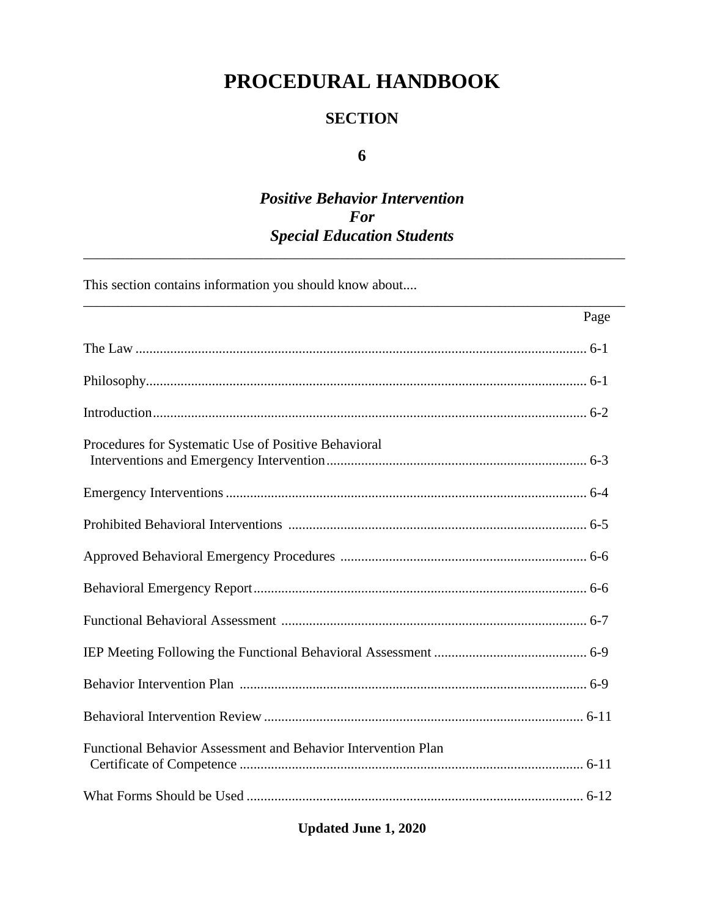# PROCEDURAL HANDBOOK

### **SECTION**

### 6

## **Positive Behavior Intervention** For **Special Education Students**

This section contains information you should know about....

| Page                                                          |
|---------------------------------------------------------------|
|                                                               |
|                                                               |
|                                                               |
| Procedures for Systematic Use of Positive Behavioral          |
|                                                               |
|                                                               |
|                                                               |
|                                                               |
|                                                               |
|                                                               |
|                                                               |
|                                                               |
| Functional Behavior Assessment and Behavior Intervention Plan |
|                                                               |

**Updated June 1, 2020**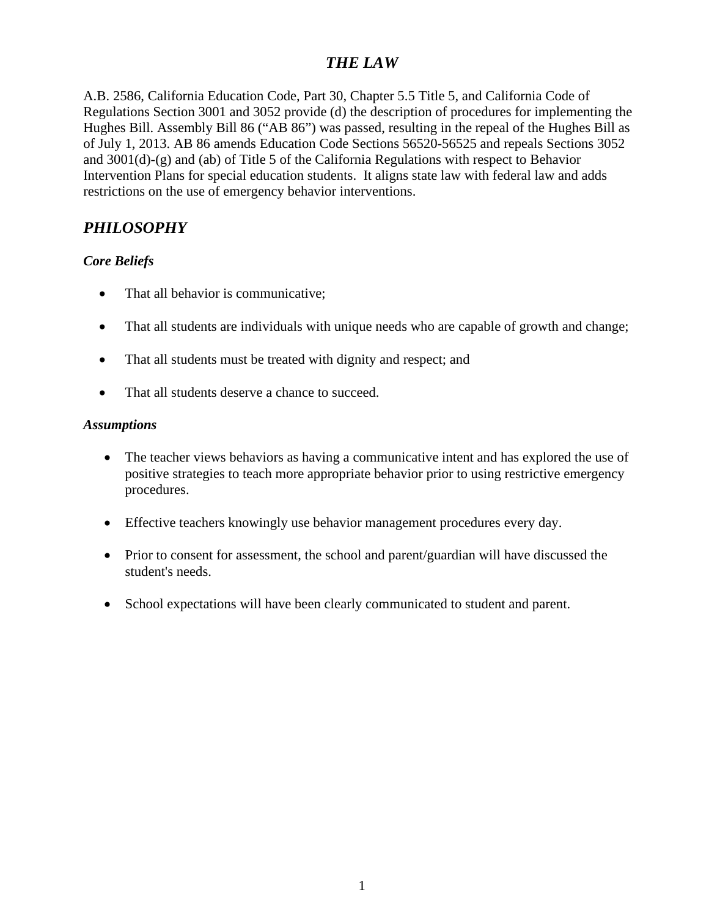## *THE LAW*

A.B. 2586, California Education Code, Part 30, Chapter 5.5 Title 5, and California Code of Regulations Section 3001 and 3052 provide (d) the description of procedures for implementing the Hughes Bill. Assembly Bill 86 ("AB 86") was passed, resulting in the repeal of the Hughes Bill as of July 1, 2013. AB 86 amends Education Code Sections 56520-56525 and repeals Sections 3052 and 3001(d)-(g) and (ab) of Title 5 of the California Regulations with respect to Behavior Intervention Plans for special education students. It aligns state law with federal law and adds restrictions on the use of emergency behavior interventions.

## *PHILOSOPHY*

### *Core Beliefs*

- That all behavior is communicative;
- That all students are individuals with unique needs who are capable of growth and change;
- That all students must be treated with dignity and respect; and
- That all students deserve a chance to succeed.

#### *Assumptions*

- The teacher views behaviors as having a communicative intent and has explored the use of positive strategies to teach more appropriate behavior prior to using restrictive emergency procedures.
- Effective teachers knowingly use behavior management procedures every day.
- Prior to consent for assessment, the school and parent/guardian will have discussed the student's needs.
- School expectations will have been clearly communicated to student and parent.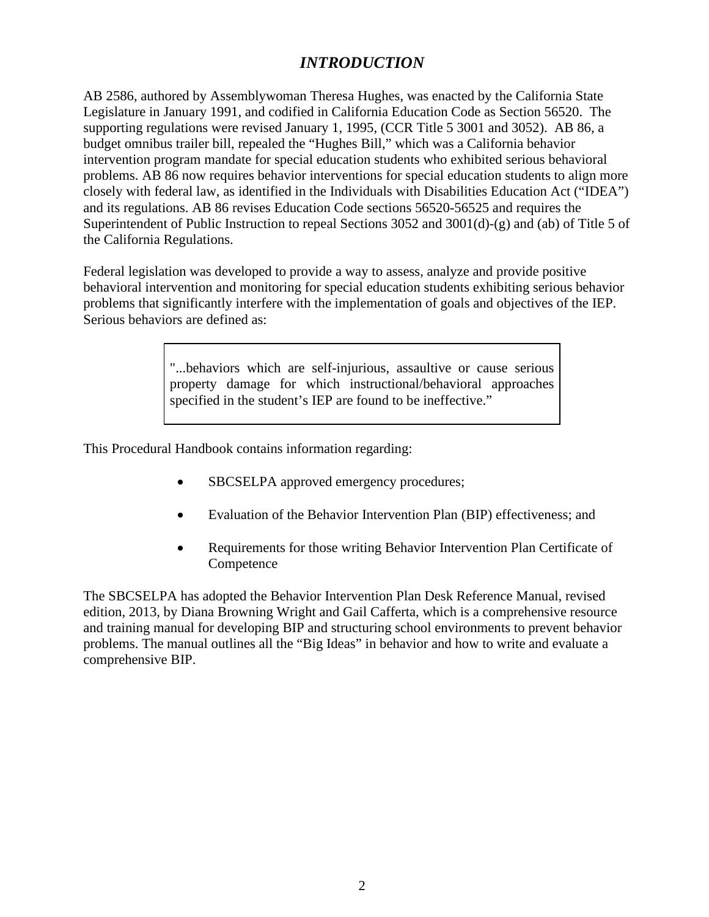## *INTRODUCTION*

AB 2586, authored by Assemblywoman Theresa Hughes, was enacted by the California State Legislature in January 1991, and codified in California Education Code as Section 56520. The supporting regulations were revised January 1, 1995, (CCR Title 5 3001 and 3052). AB 86, a budget omnibus trailer bill, repealed the "Hughes Bill," which was a California behavior intervention program mandate for special education students who exhibited serious behavioral problems. AB 86 now requires behavior interventions for special education students to align more closely with federal law, as identified in the Individuals with Disabilities Education Act ("IDEA") and its regulations. AB 86 revises Education Code sections 56520-56525 and requires the Superintendent of Public Instruction to repeal Sections 3052 and 3001(d)-(g) and (ab) of Title 5 of the California Regulations.

Federal legislation was developed to provide a way to assess, analyze and provide positive behavioral intervention and monitoring for special education students exhibiting serious behavior problems that significantly interfere with the implementation of goals and objectives of the IEP. Serious behaviors are defined as:

> "...behaviors which are self-injurious, assaultive or cause serious property damage for which instructional/behavioral approaches specified in the student's IEP are found to be ineffective."

This Procedural Handbook contains information regarding:

- SBCSELPA approved emergency procedures;
- Evaluation of the Behavior Intervention Plan (BIP) effectiveness; and
- Requirements for those writing Behavior Intervention Plan Certificate of Competence

The SBCSELPA has adopted the Behavior Intervention Plan Desk Reference Manual, revised edition, 2013, by Diana Browning Wright and Gail Cafferta, which is a comprehensive resource and training manual for developing BIP and structuring school environments to prevent behavior problems. The manual outlines all the "Big Ideas" in behavior and how to write and evaluate a comprehensive BIP.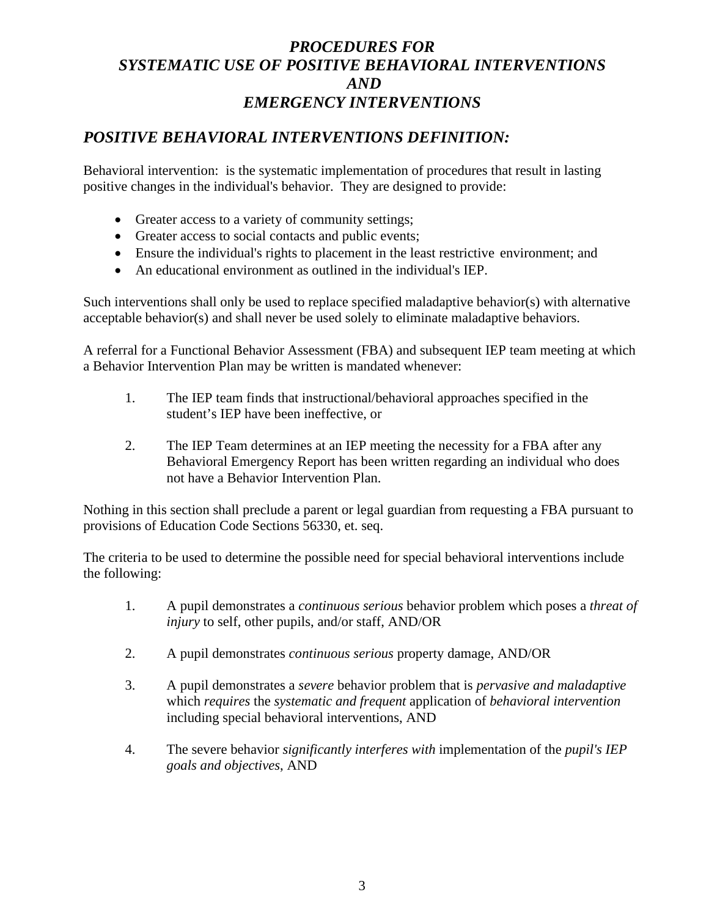## *PROCEDURES FOR SYSTEMATIC USE OF POSITIVE BEHAVIORAL INTERVENTIONS AND EMERGENCY INTERVENTIONS*

### *POSITIVE BEHAVIORAL INTERVENTIONS DEFINITION:*

Behavioral intervention: is the systematic implementation of procedures that result in lasting positive changes in the individual's behavior. They are designed to provide:

- Greater access to a variety of community settings;
- Greater access to social contacts and public events;
- Ensure the individual's rights to placement in the least restrictive environment; and
- An educational environment as outlined in the individual's IEP.

Such interventions shall only be used to replace specified maladaptive behavior(s) with alternative acceptable behavior(s) and shall never be used solely to eliminate maladaptive behaviors.

A referral for a Functional Behavior Assessment (FBA) and subsequent IEP team meeting at which a Behavior Intervention Plan may be written is mandated whenever:

- 1. The IEP team finds that instructional/behavioral approaches specified in the student's IEP have been ineffective, or
- 2. The IEP Team determines at an IEP meeting the necessity for a FBA after any Behavioral Emergency Report has been written regarding an individual who does not have a Behavior Intervention Plan.

Nothing in this section shall preclude a parent or legal guardian from requesting a FBA pursuant to provisions of Education Code Sections 56330, et. seq.

The criteria to be used to determine the possible need for special behavioral interventions include the following:

- 1. A pupil demonstrates a *continuous serious* behavior problem which poses a *threat of injury* to self, other pupils, and/or staff, AND/OR
- 2. A pupil demonstrates *continuous serious* property damage, AND/OR
- 3. A pupil demonstrates a *severe* behavior problem that is *pervasive and maladaptive* which *requires* the *systematic and frequent* application of *behavioral intervention* including special behavioral interventions, AND
- 4. The severe behavior *significantly interferes with* implementation of the *pupil's IEP goals and objectives*, AND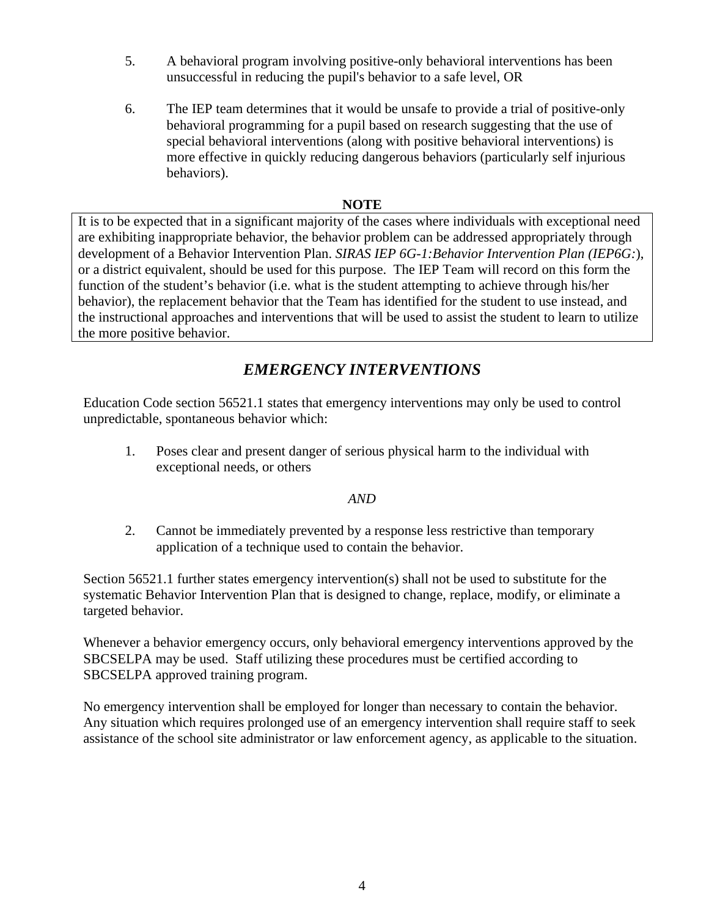- 5. A behavioral program involving positive-only behavioral interventions has been unsuccessful in reducing the pupil's behavior to a safe level, OR
- 6. The IEP team determines that it would be unsafe to provide a trial of positive-only behavioral programming for a pupil based on research suggesting that the use of special behavioral interventions (along with positive behavioral interventions) is more effective in quickly reducing dangerous behaviors (particularly self injurious behaviors).

#### **NOTE**

It is to be expected that in a significant majority of the cases where individuals with exceptional need are exhibiting inappropriate behavior, the behavior problem can be addressed appropriately through development of a Behavior Intervention Plan. *SIRAS IEP 6G-1:Behavior Intervention Plan (IEP6G:*), or a district equivalent, should be used for this purpose. The IEP Team will record on this form the function of the student's behavior (i.e. what is the student attempting to achieve through his/her behavior), the replacement behavior that the Team has identified for the student to use instead, and the instructional approaches and interventions that will be used to assist the student to learn to utilize the more positive behavior.

## *EMERGENCY INTERVENTIONS*

Education Code section 56521.1 states that emergency interventions may only be used to control unpredictable, spontaneous behavior which:

1. Poses clear and present danger of serious physical harm to the individual with exceptional needs, or others

#### *AND*

2. Cannot be immediately prevented by a response less restrictive than temporary application of a technique used to contain the behavior.

Section 56521.1 further states emergency intervention(s) shall not be used to substitute for the systematic Behavior Intervention Plan that is designed to change, replace, modify, or eliminate a targeted behavior.

Whenever a behavior emergency occurs, only behavioral emergency interventions approved by the SBCSELPA may be used. Staff utilizing these procedures must be certified according to SBCSELPA approved training program.

No emergency intervention shall be employed for longer than necessary to contain the behavior. Any situation which requires prolonged use of an emergency intervention shall require staff to seek assistance of the school site administrator or law enforcement agency, as applicable to the situation.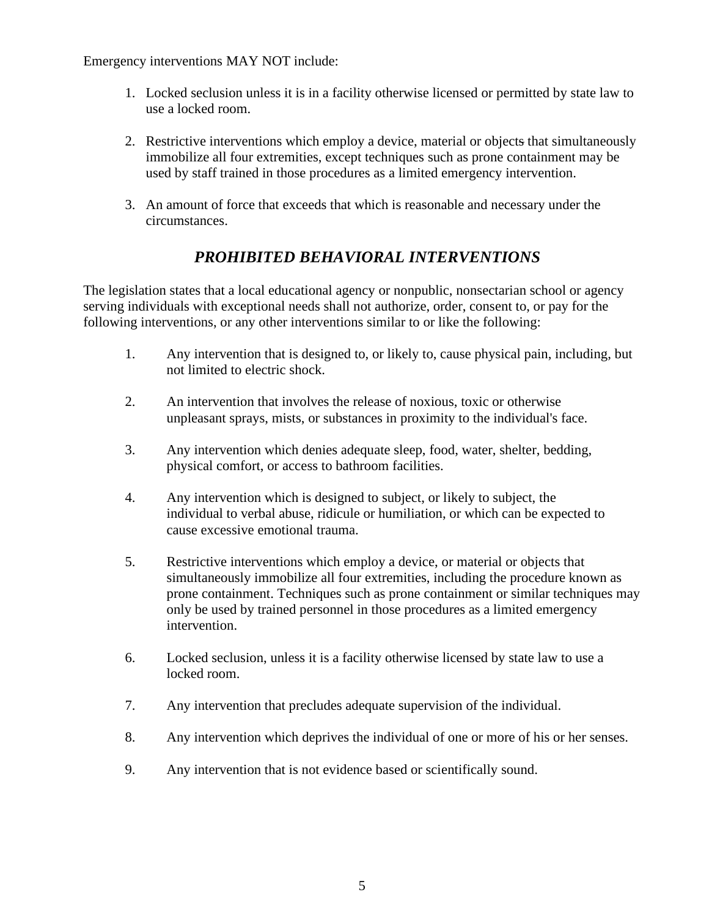Emergency interventions MAY NOT include:

- 1. Locked seclusion unless it is in a facility otherwise licensed or permitted by state law to use a locked room.
- 2. Restrictive interventions which employ a device, material or objects that simultaneously immobilize all four extremities, except techniques such as prone containment may be used by staff trained in those procedures as a limited emergency intervention.
- 3. An amount of force that exceeds that which is reasonable and necessary under the circumstances.

## *PROHIBITED BEHAVIORAL INTERVENTIONS*

The legislation states that a local educational agency or nonpublic, nonsectarian school or agency serving individuals with exceptional needs shall not authorize, order, consent to, or pay for the following interventions, or any other interventions similar to or like the following:

- 1. Any intervention that is designed to, or likely to, cause physical pain, including, but not limited to electric shock.
- 2. An intervention that involves the release of noxious, toxic or otherwise unpleasant sprays, mists, or substances in proximity to the individual's face.
- 3. Any intervention which denies adequate sleep, food, water, shelter, bedding, physical comfort, or access to bathroom facilities.
- 4. Any intervention which is designed to subject, or likely to subject, the individual to verbal abuse, ridicule or humiliation, or which can be expected to cause excessive emotional trauma.
- 5. Restrictive interventions which employ a device, or material or objects that simultaneously immobilize all four extremities, including the procedure known as prone containment. Techniques such as prone containment or similar techniques may only be used by trained personnel in those procedures as a limited emergency intervention.
- 6. Locked seclusion, unless it is a facility otherwise licensed by state law to use a locked room.
- 7. Any intervention that precludes adequate supervision of the individual.
- 8. Any intervention which deprives the individual of one or more of his or her senses.
- 9. Any intervention that is not evidence based or scientifically sound.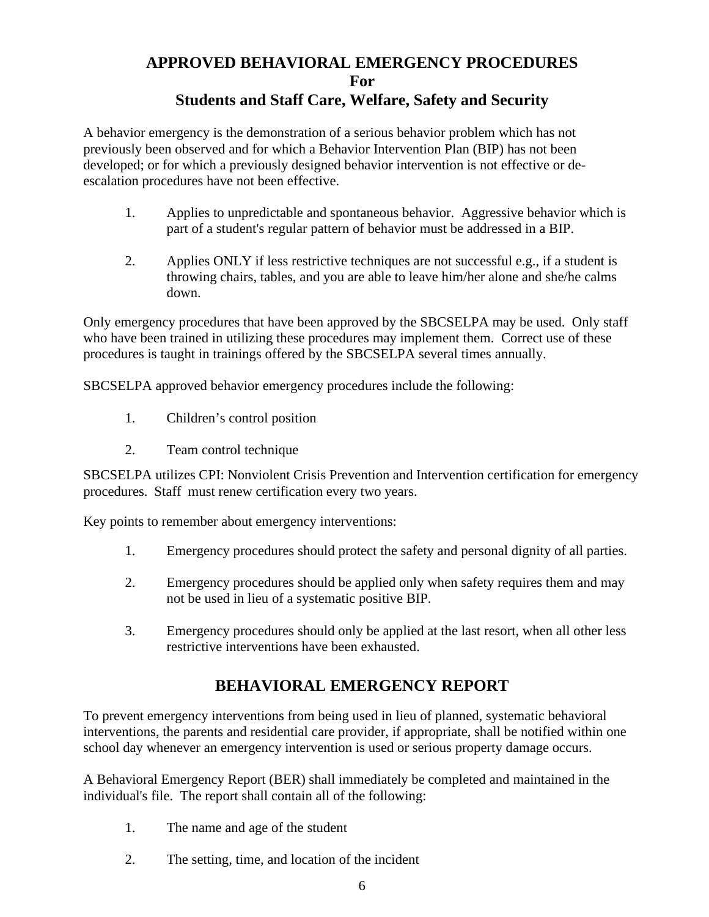## **APPROVED BEHAVIORAL EMERGENCY PROCEDURES For Students and Staff Care, Welfare, Safety and Security**

A behavior emergency is the demonstration of a serious behavior problem which has not previously been observed and for which a Behavior Intervention Plan (BIP) has not been developed; or for which a previously designed behavior intervention is not effective or deescalation procedures have not been effective.

- 1. Applies to unpredictable and spontaneous behavior. Aggressive behavior which is part of a student's regular pattern of behavior must be addressed in a BIP.
- 2. Applies ONLY if less restrictive techniques are not successful e.g., if a student is throwing chairs, tables, and you are able to leave him/her alone and she/he calms down.

Only emergency procedures that have been approved by the SBCSELPA may be used. Only staff who have been trained in utilizing these procedures may implement them. Correct use of these procedures is taught in trainings offered by the SBCSELPA several times annually.

SBCSELPA approved behavior emergency procedures include the following:

- 1. Children's control position
- 2. Team control technique

SBCSELPA utilizes CPI: Nonviolent Crisis Prevention and Intervention certification for emergency procedures. Staff must renew certification every two years.

Key points to remember about emergency interventions:

- 1. Emergency procedures should protect the safety and personal dignity of all parties.
- 2. Emergency procedures should be applied only when safety requires them and may not be used in lieu of a systematic positive BIP.
- 3. Emergency procedures should only be applied at the last resort, when all other less restrictive interventions have been exhausted.

## **BEHAVIORAL EMERGENCY REPORT**

To prevent emergency interventions from being used in lieu of planned, systematic behavioral interventions, the parents and residential care provider, if appropriate, shall be notified within one school day whenever an emergency intervention is used or serious property damage occurs.

A Behavioral Emergency Report (BER) shall immediately be completed and maintained in the individual's file. The report shall contain all of the following:

- 1. The name and age of the student
- 2. The setting, time, and location of the incident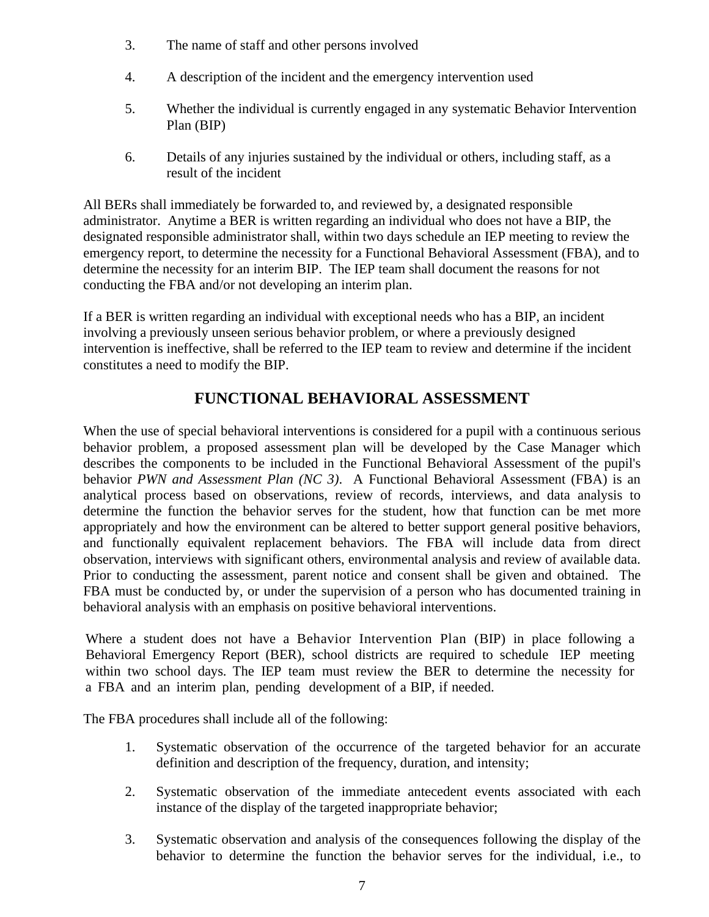- 3. The name of staff and other persons involved
- 4. A description of the incident and the emergency intervention used
- 5. Whether the individual is currently engaged in any systematic Behavior Intervention Plan (BIP)
- 6. Details of any injuries sustained by the individual or others, including staff, as a result of the incident

All BERs shall immediately be forwarded to, and reviewed by, a designated responsible administrator. Anytime a BER is written regarding an individual who does not have a BIP, the designated responsible administrator shall, within two days schedule an IEP meeting to review the emergency report, to determine the necessity for a Functional Behavioral Assessment (FBA), and to determine the necessity for an interim BIP. The IEP team shall document the reasons for not conducting the FBA and/or not developing an interim plan.

If a BER is written regarding an individual with exceptional needs who has a BIP, an incident involving a previously unseen serious behavior problem, or where a previously designed intervention is ineffective, shall be referred to the IEP team to review and determine if the incident constitutes a need to modify the BIP.

## **FUNCTIONAL BEHAVIORAL ASSESSMENT**

When the use of special behavioral interventions is considered for a pupil with a continuous serious behavior problem, a proposed assessment plan will be developed by the Case Manager which describes the components to be included in the Functional Behavioral Assessment of the pupil's behavior *PWN and Assessment Plan (NC 3)*. A Functional Behavioral Assessment (FBA) is an analytical process based on observations, review of records, interviews, and data analysis to determine the function the behavior serves for the student, how that function can be met more appropriately and how the environment can be altered to better support general positive behaviors*,*  and functionally equivalent replacement behaviors. The FBA will include data from direct observation, interviews with significant others, environmental analysis and review of available data. Prior to conducting the assessment, parent notice and consent shall be given and obtained. The FBA must be conducted by, or under the supervision of a person who has documented training in behavioral analysis with an emphasis on positive behavioral interventions.

Where a student does not have a Behavior Intervention Plan (BIP) in place following a Behavioral Emergency Report (BER), school districts are required to schedule IEP meeting within two school days. The IEP team must review the BER to determine the necessity for a FBA and an interim plan, pending development of a BIP, if needed.

The FBA procedures shall include all of the following:

- 1. Systematic observation of the occurrence of the targeted behavior for an accurate definition and description of the frequency, duration, and intensity;
- 2. Systematic observation of the immediate antecedent events associated with each instance of the display of the targeted inappropriate behavior;
- 3. Systematic observation and analysis of the consequences following the display of the behavior to determine the function the behavior serves for the individual, i.e., to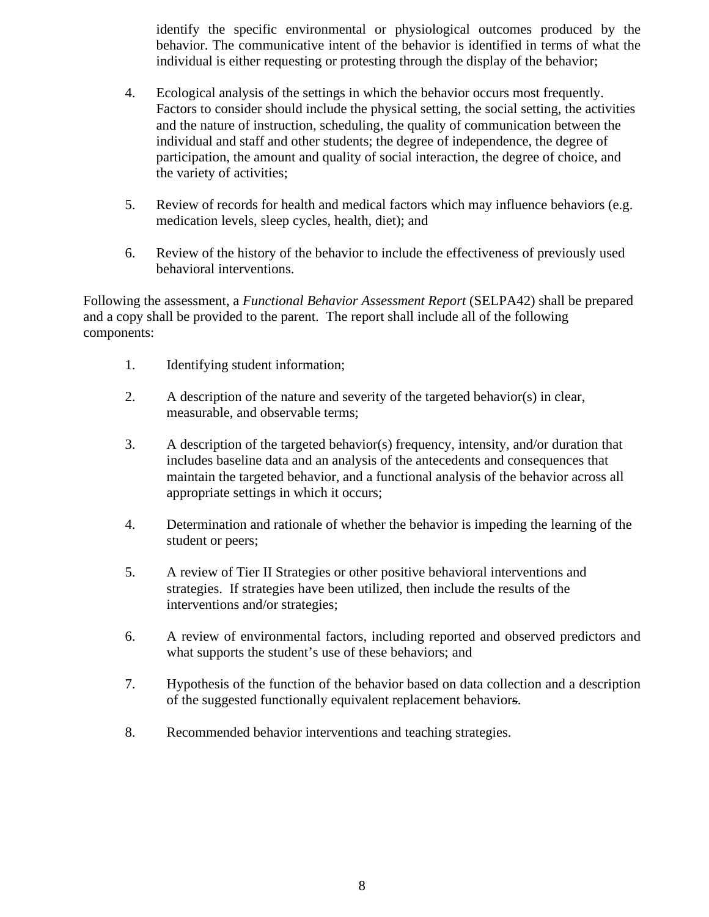identify the specific environmental or physiological outcomes produced by the behavior. The communicative intent of the behavior is identified in terms of what the individual is either requesting or protesting through the display of the behavior;

- 4. Ecological analysis of the settings in which the behavior occurs most frequently. Factors to consider should include the physical setting, the social setting, the activities and the nature of instruction, scheduling, the quality of communication between the individual and staff and other students; the degree of independence, the degree of participation, the amount and quality of social interaction, the degree of choice, and the variety of activities;
- 5. Review of records for health and medical factors which may influence behaviors (e.g. medication levels, sleep cycles, health, diet); and
- 6. Review of the history of the behavior to include the effectiveness of previously used behavioral interventions.

Following the assessment, a *Functional Behavior Assessment Report* (SELPA42) shall be prepared and a copy shall be provided to the parent. The report shall include all of the following components:

- 1. Identifying student information;
- 2. A description of the nature and severity of the targeted behavior(s) in clear, measurable, and observable terms;
- 3. A description of the targeted behavior(s) frequency, intensity, and/or duration that includes baseline data and an analysis of the antecedents and consequences that maintain the targeted behavior, and a functional analysis of the behavior across all appropriate settings in which it occurs;
- 4. Determination and rationale of whether the behavior is impeding the learning of the student or peers;
- 5. A review of Tier II Strategies or other positive behavioral interventions and strategies. If strategies have been utilized, then include the results of the interventions and/or strategies;
- 6. A review of environmental factors, including reported and observed predictors and what supports the student's use of these behaviors; and
- 7. Hypothesis of the function of the behavior based on data collection and a description of the suggested functionally equivalent replacement behaviors.
- 8. Recommended behavior interventions and teaching strategies.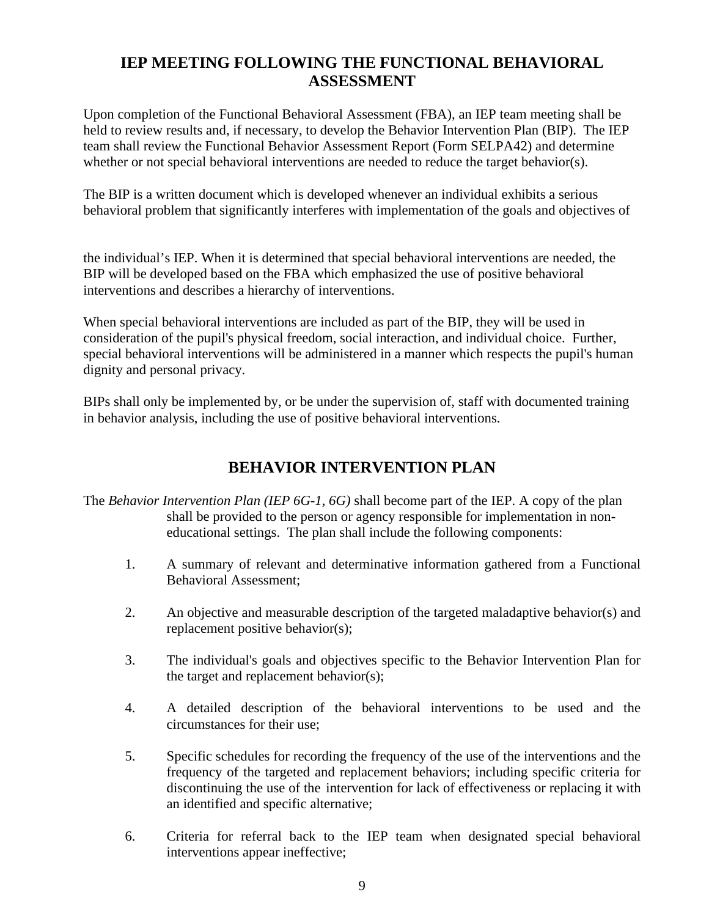## **IEP MEETING FOLLOWING THE FUNCTIONAL BEHAVIORAL ASSESSMENT**

Upon completion of the Functional Behavioral Assessment (FBA), an IEP team meeting shall be held to review results and, if necessary, to develop the Behavior Intervention Plan (BIP). The IEP team shall review the Functional Behavior Assessment Report (Form SELPA42) and determine whether or not special behavioral interventions are needed to reduce the target behavior(s).

The BIP is a written document which is developed whenever an individual exhibits a serious behavioral problem that significantly interferes with implementation of the goals and objectives of

the individual's IEP. When it is determined that special behavioral interventions are needed, the BIP will be developed based on the FBA which emphasized the use of positive behavioral interventions and describes a hierarchy of interventions.

When special behavioral interventions are included as part of the BIP, they will be used in consideration of the pupil's physical freedom, social interaction, and individual choice. Further, special behavioral interventions will be administered in a manner which respects the pupil's human dignity and personal privacy.

BIPs shall only be implemented by, or be under the supervision of, staff with documented training in behavior analysis, including the use of positive behavioral interventions.

## **BEHAVIOR INTERVENTION PLAN**

- The *Behavior Intervention Plan (IEP 6G-1, 6G)* shall become part of the IEP. A copy of the plan shall be provided to the person or agency responsible for implementation in noneducational settings. The plan shall include the following components:
	- 1. A summary of relevant and determinative information gathered from a Functional Behavioral Assessment;
	- 2. An objective and measurable description of the targeted maladaptive behavior(s) and replacement positive behavior(s);
	- 3. The individual's goals and objectives specific to the Behavior Intervention Plan for the target and replacement behavior(s);
	- 4. A detailed description of the behavioral interventions to be used and the circumstances for their use;
	- 5. Specific schedules for recording the frequency of the use of the interventions and the frequency of the targeted and replacement behaviors; including specific criteria for discontinuing the use of the intervention for lack of effectiveness or replacing it with an identified and specific alternative;
	- 6. Criteria for referral back to the IEP team when designated special behavioral interventions appear ineffective;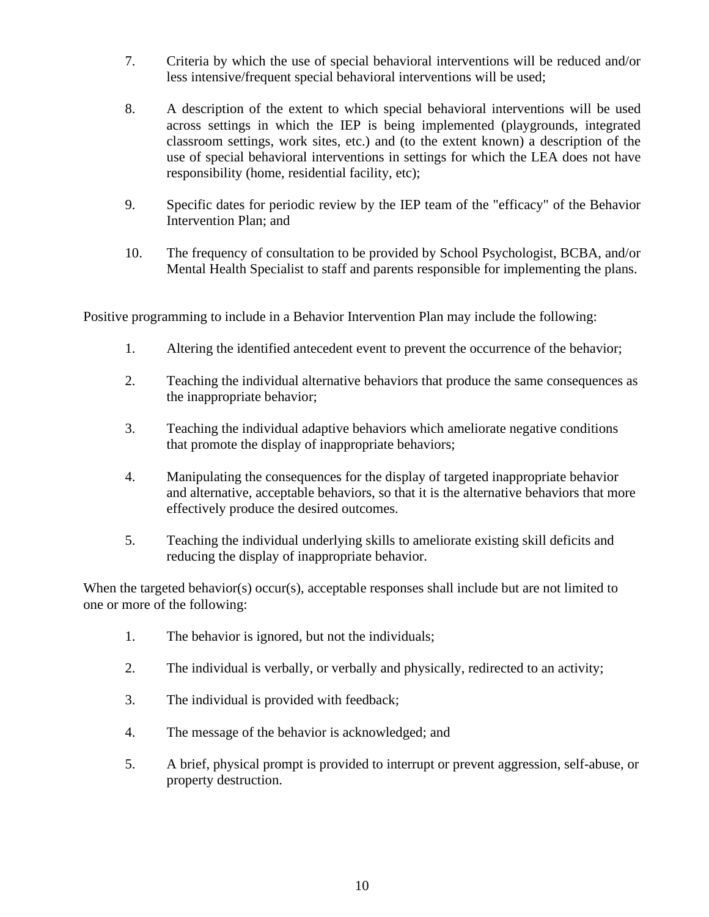- 7. Criteria by which the use of special behavioral interventions will be reduced and/or less intensive/frequent special behavioral interventions will be used;
- 8. A description of the extent to which special behavioral interventions will be used across settings in which the IEP is being implemented (playgrounds, integrated classroom settings, work sites, etc.) and (to the extent known) a description of the use of special behavioral interventions in settings for which the LEA does not have responsibility (home, residential facility, etc);
- 9. Specific dates for periodic review by the IEP team of the "efficacy" of the Behavior Intervention Plan; and
- 10. The frequency of consultation to be provided by School Psychologist, BCBA, and/or Mental Health Specialist to staff and parents responsible for implementing the plans.

Positive programming to include in a Behavior Intervention Plan may include the following:

- 1. Altering the identified antecedent event to prevent the occurrence of the behavior;
- 2. Teaching the individual alternative behaviors that produce the same consequences as the inappropriate behavior;
- 3. Teaching the individual adaptive behaviors which ameliorate negative conditions that promote the display of inappropriate behaviors;
- 4. Manipulating the consequences for the display of targeted inappropriate behavior and alternative, acceptable behaviors, so that it is the alternative behaviors that more effectively produce the desired outcomes.
- 5. Teaching the individual underlying skills to ameliorate existing skill deficits and reducing the display of inappropriate behavior.

When the targeted behavior(s) occur(s), acceptable responses shall include but are not limited to one or more of the following:

- 1. The behavior is ignored, but not the individuals;
- 2. The individual is verbally, or verbally and physically, redirected to an activity;
- 3. The individual is provided with feedback;
- 4. The message of the behavior is acknowledged; and
- 5. A brief, physical prompt is provided to interrupt or prevent aggression, self-abuse, or property destruction.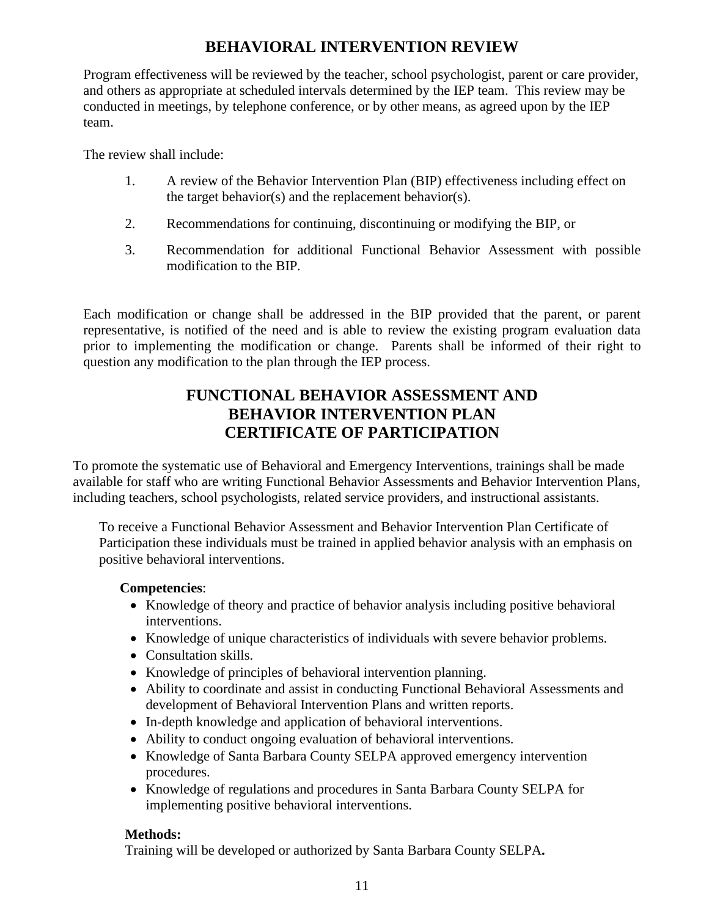## **BEHAVIORAL INTERVENTION REVIEW**

Program effectiveness will be reviewed by the teacher, school psychologist, parent or care provider, and others as appropriate at scheduled intervals determined by the IEP team. This review may be conducted in meetings, by telephone conference, or by other means, as agreed upon by the IEP team.

The review shall include:

- 1. A review of the Behavior Intervention Plan (BIP) effectiveness including effect on the target behavior(s) and the replacement behavior(s).
- 2. Recommendations for continuing, discontinuing or modifying the BIP, or
- 3. Recommendation for additional Functional Behavior Assessment with possible modification to the BIP*.*

Each modification or change shall be addressed in the BIP provided that the parent, or parent representative, is notified of the need and is able to review the existing program evaluation data prior to implementing the modification or change. Parents shall be informed of their right to question any modification to the plan through the IEP process.

### **FUNCTIONAL BEHAVIOR ASSESSMENT AND BEHAVIOR INTERVENTION PLAN CERTIFICATE OF PARTICIPATION**

To promote the systematic use of Behavioral and Emergency Interventions, trainings shall be made available for staff who are writing Functional Behavior Assessments and Behavior Intervention Plans, including teachers, school psychologists, related service providers, and instructional assistants.

To receive a Functional Behavior Assessment and Behavior Intervention Plan Certificate of Participation these individuals must be trained in applied behavior analysis with an emphasis on positive behavioral interventions.

#### **Competencies**:

- Knowledge of theory and practice of behavior analysis including positive behavioral interventions.
- Knowledge of unique characteristics of individuals with severe behavior problems.
- Consultation skills.
- Knowledge of principles of behavioral intervention planning.
- Ability to coordinate and assist in conducting Functional Behavioral Assessments and development of Behavioral Intervention Plans and written reports.
- In-depth knowledge and application of behavioral interventions.
- Ability to conduct ongoing evaluation of behavioral interventions.
- Knowledge of Santa Barbara County SELPA approved emergency intervention procedures.
- Knowledge of regulations and procedures in Santa Barbara County SELPA for implementing positive behavioral interventions.

### **Methods:**

Training will be developed or authorized by Santa Barbara County SELPA**.**